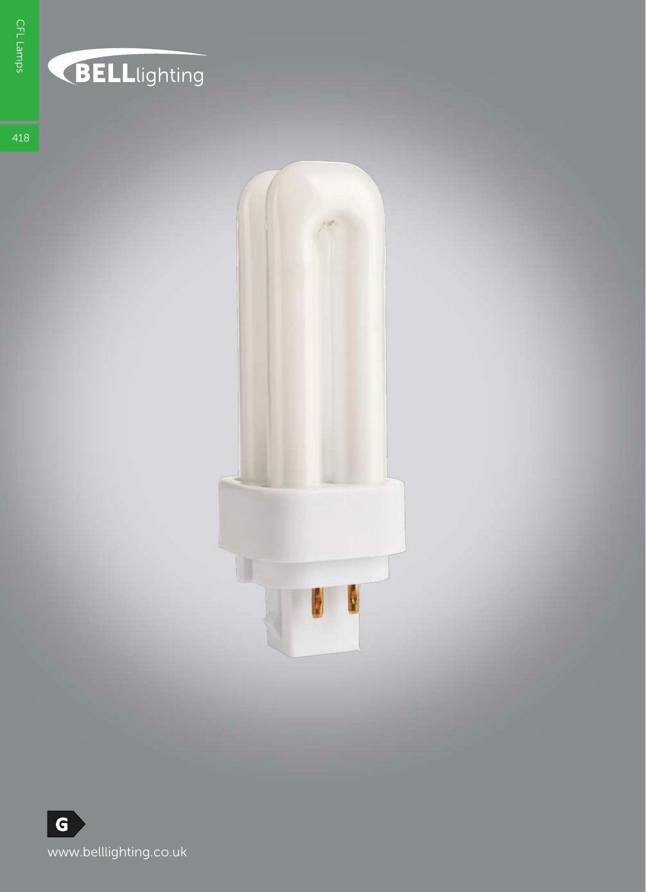## **BELL**lighting